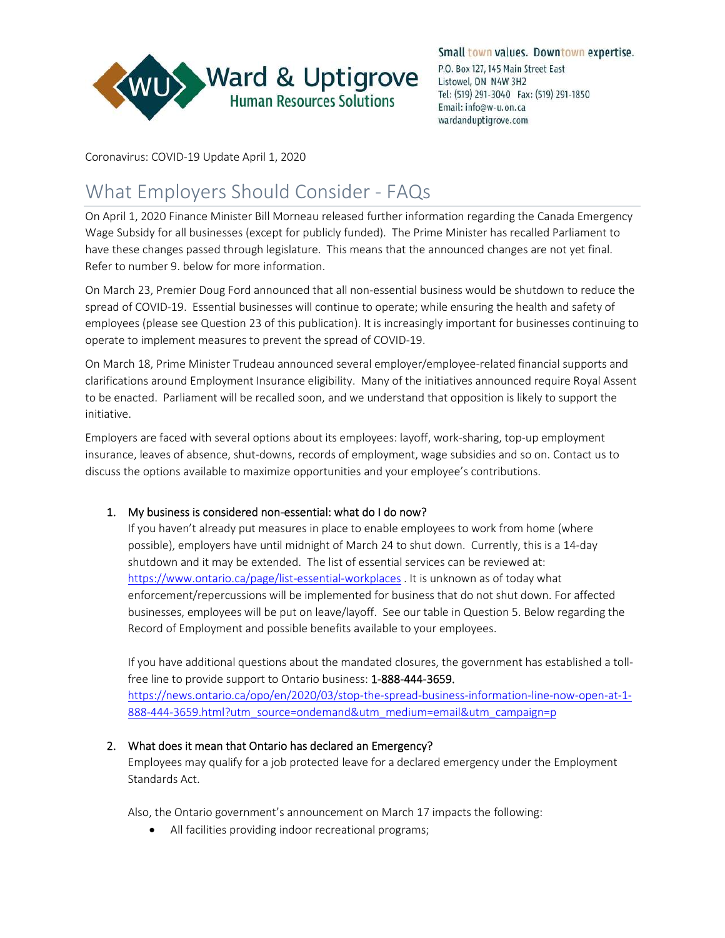

Coronavirus: COVID-19 Update April 1, 2020

# What Employers Should Consider - FAQs

On April 1, 2020 Finance Minister Bill Morneau released further information regarding the Canada Emergency Wage Subsidy for all businesses (except for publicly funded). The Prime Minister has recalled Parliament to have these changes passed through legislature. This means that the announced changes are not yet final. Refer to number 9. below for more information.

On March 23, Premier Doug Ford announced that all non-essential business would be shutdown to reduce the spread of COVID-19. Essential businesses will continue to operate; while ensuring the health and safety of employees (please see Question 23 of this publication). It is increasingly important for businesses continuing to operate to implement measures to prevent the spread of COVID-19.

On March 18, Prime Minister Trudeau announced several employer/employee-related financial supports and clarifications around Employment Insurance eligibility. Many of the initiatives announced require Royal Assent to be enacted. Parliament will be recalled soon, and we understand that opposition is likely to support the initiative.

Employers are faced with several options about its employees: layoff, work-sharing, top-up employment insurance, leaves of absence, shut-downs, records of employment, wage subsidies and so on. Contact us to discuss the options available to maximize opportunities and your employee's contributions.

# 1. My business is considered non-essential: what do I do now?

If you haven't already put measures in place to enable employees to work from home (where possible), employers have until midnight of March 24 to shut down. Currently, this is a 14-day shutdown and it may be extended. The list of essential services can be reviewed at: https://www.ontario.ca/page/list-essential-workplaces . It is unknown as of today what enforcement/repercussions will be implemented for business that do not shut down. For affected businesses, employees will be put on leave/layoff. See our table in Question 5. Below regarding the Record of Employment and possible benefits available to your employees.

If you have additional questions about the mandated closures, the government has established a tollfree line to provide support to Ontario business: 1-888-444-3659.

https://news.ontario.ca/opo/en/2020/03/stop-the-spread-business-information-line-now-open-at-1- 888-444-3659.html?utm\_source=ondemand&utm\_medium=email&utm\_campaign=p

# 2. What does it mean that Ontario has declared an Emergency?

Employees may qualify for a job protected leave for a declared emergency under the Employment Standards Act.

Also, the Ontario government's announcement on March 17 impacts the following:

All facilities providing indoor recreational programs;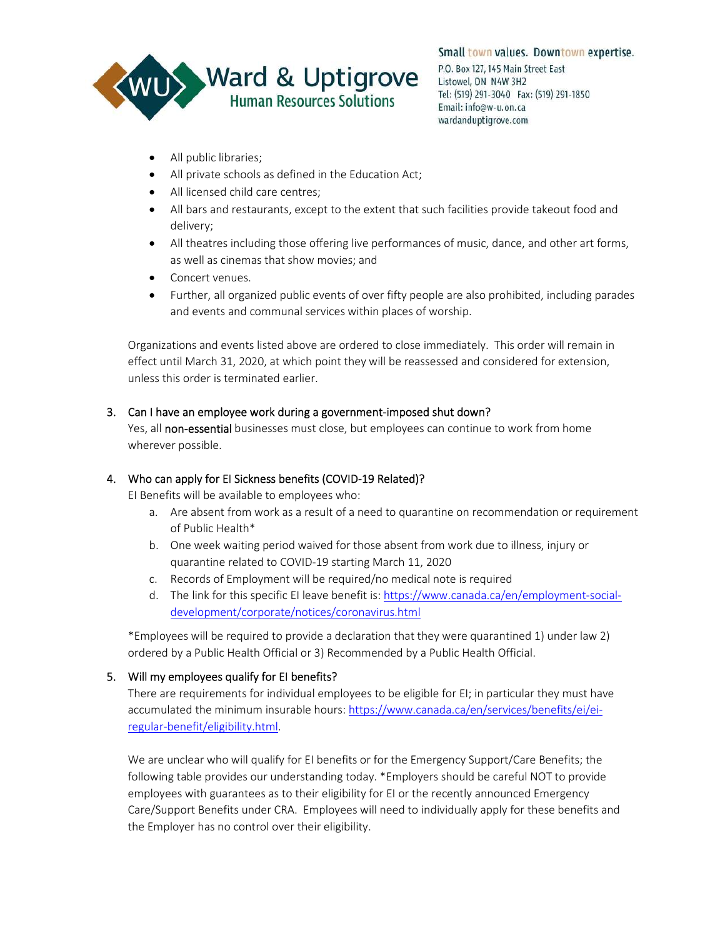

- All public libraries;
- All private schools as defined in the Education Act;
- All licensed child care centres;
- All bars and restaurants, except to the extent that such facilities provide takeout food and delivery;
- All theatres including those offering live performances of music, dance, and other art forms, as well as cinemas that show movies; and
- Concert venues.
- Further, all organized public events of over fifty people are also prohibited, including parades and events and communal services within places of worship.

Organizations and events listed above are ordered to close immediately. This order will remain in effect until March 31, 2020, at which point they will be reassessed and considered for extension, unless this order is terminated earlier.

## 3. Can I have an employee work during a government-imposed shut down?

Yes, all non-essential businesses must close, but employees can continue to work from home wherever possible.

# 4. Who can apply for EI Sickness benefits (COVID-19 Related)?

EI Benefits will be available to employees who:

- a. Are absent from work as a result of a need to quarantine on recommendation or requirement of Public Health\*
- b. One week waiting period waived for those absent from work due to illness, injury or quarantine related to COVID-19 starting March 11, 2020
- c. Records of Employment will be required/no medical note is required
- d. The link for this specific EI leave benefit is: https://www.canada.ca/en/employment-socialdevelopment/corporate/notices/coronavirus.html

\*Employees will be required to provide a declaration that they were quarantined 1) under law 2) ordered by a Public Health Official or 3) Recommended by a Public Health Official.

# 5. Will my employees qualify for EI benefits?

There are requirements for individual employees to be eligible for EI; in particular they must have accumulated the minimum insurable hours: https://www.canada.ca/en/services/benefits/ei/eiregular-benefit/eligibility.html.

We are unclear who will qualify for EI benefits or for the Emergency Support/Care Benefits; the following table provides our understanding today. \*Employers should be careful NOT to provide employees with guarantees as to their eligibility for EI or the recently announced Emergency Care/Support Benefits under CRA. Employees will need to individually apply for these benefits and the Employer has no control over their eligibility.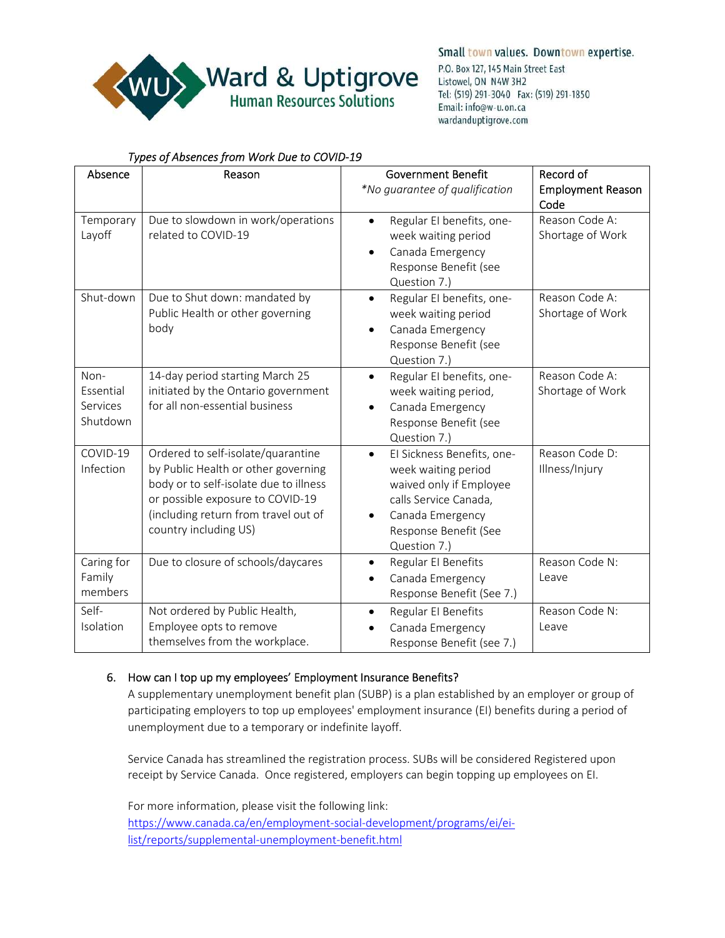

# *Types of Absences from Work Due to COVID-19*

| Absence                                   | Reason                                                                                                                                                                                                                   | <b>Government Benefit</b><br>*No guarantee of qualification                                                                                                                     | Record of<br><b>Employment Reason</b><br>Code |
|-------------------------------------------|--------------------------------------------------------------------------------------------------------------------------------------------------------------------------------------------------------------------------|---------------------------------------------------------------------------------------------------------------------------------------------------------------------------------|-----------------------------------------------|
| Temporary<br>Layoff                       | Due to slowdown in work/operations<br>related to COVID-19                                                                                                                                                                | Regular EI benefits, one-<br>$\bullet$<br>week waiting period<br>Canada Emergency<br>$\bullet$<br>Response Benefit (see<br>Question 7.)                                         | Reason Code A:<br>Shortage of Work            |
| Shut-down                                 | Due to Shut down: mandated by<br>Public Health or other governing<br>body                                                                                                                                                | Regular EI benefits, one-<br>$\bullet$<br>week waiting period<br>Canada Emergency<br>$\bullet$<br>Response Benefit (see<br>Question 7.)                                         | Reason Code A:<br>Shortage of Work            |
| Non-<br>Essential<br>Services<br>Shutdown | 14-day period starting March 25<br>initiated by the Ontario government<br>for all non-essential business                                                                                                                 | Regular EI benefits, one-<br>$\bullet$<br>week waiting period,<br>Canada Emergency<br>$\bullet$<br>Response Benefit (see<br>Question 7.)                                        | Reason Code A:<br>Shortage of Work            |
| COVID-19<br>Infection                     | Ordered to self-isolate/quarantine<br>by Public Health or other governing<br>body or to self-isolate due to illness<br>or possible exposure to COVID-19<br>(including return from travel out of<br>country including US) | El Sickness Benefits, one-<br>$\bullet$<br>week waiting period<br>waived only if Employee<br>calls Service Canada,<br>Canada Emergency<br>Response Benefit (See<br>Question 7.) | Reason Code D:<br>Illness/Injury              |
| Caring for<br>Family<br>members           | Due to closure of schools/daycares                                                                                                                                                                                       | Regular El Benefits<br>$\bullet$<br>Canada Emergency<br>$\bullet$<br>Response Benefit (See 7.)                                                                                  | Reason Code N:<br>Leave                       |
| Self-<br>Isolation                        | Not ordered by Public Health,<br>Employee opts to remove<br>themselves from the workplace.                                                                                                                               | Regular EI Benefits<br>$\bullet$<br>Canada Emergency<br>Response Benefit (see 7.)                                                                                               | Reason Code N:<br>Leave                       |

# 6. How can I top up my employees' Employment Insurance Benefits?

A supplementary unemployment benefit plan (SUBP) is a plan established by an employer or group of participating employers to top up employees' employment insurance (EI) benefits during a period of unemployment due to a temporary or indefinite layoff.

Service Canada has streamlined the registration process. SUBs will be considered Registered upon receipt by Service Canada. Once registered, employers can begin topping up employees on EI.

For more information, please visit the following link: https://www.canada.ca/en/employment-social-development/programs/ei/eilist/reports/supplemental-unemployment-benefit.html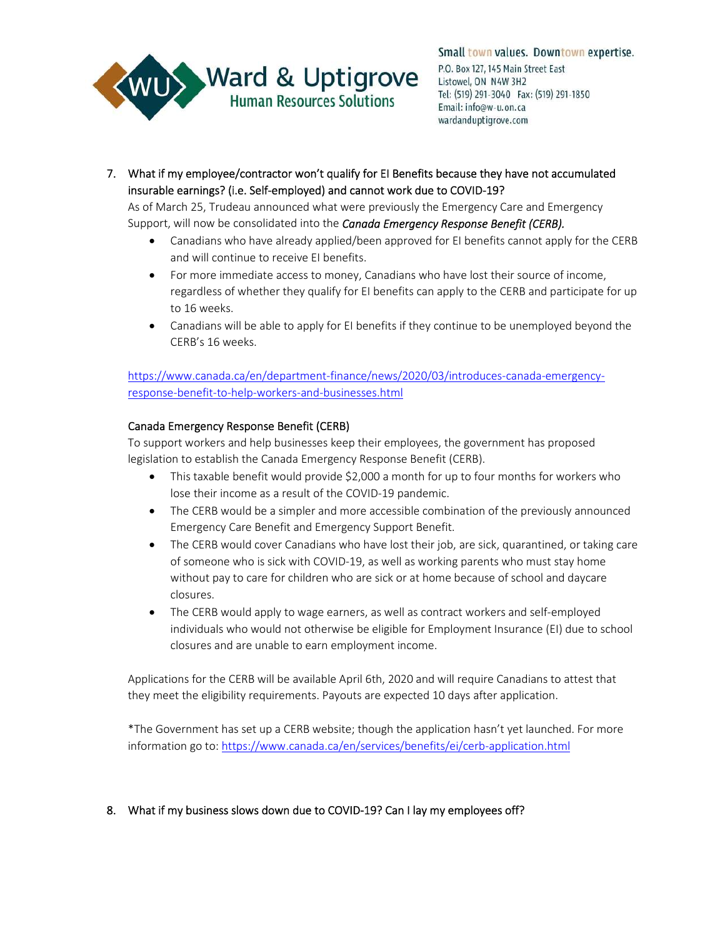

7. What if my employee/contractor won't qualify for EI Benefits because they have not accumulated insurable earnings? (i.e. Self-employed) and cannot work due to COVID-19?

As of March 25, Trudeau announced what were previously the Emergency Care and Emergency Support, will now be consolidated into the *Canada Emergency Response Benefit (CERB).* 

- Canadians who have already applied/been approved for EI benefits cannot apply for the CERB and will continue to receive EI benefits.
- For more immediate access to money, Canadians who have lost their source of income, regardless of whether they qualify for EI benefits can apply to the CERB and participate for up to 16 weeks.
- Canadians will be able to apply for EI benefits if they continue to be unemployed beyond the CERB's 16 weeks.

https://www.canada.ca/en/department-finance/news/2020/03/introduces-canada-emergencyresponse-benefit-to-help-workers-and-businesses.html

#### Canada Emergency Response Benefit (CERB)

To support workers and help businesses keep their employees, the government has proposed legislation to establish the Canada Emergency Response Benefit (CERB).

- This taxable benefit would provide \$2,000 a month for up to four months for workers who lose their income as a result of the COVID-19 pandemic.
- The CERB would be a simpler and more accessible combination of the previously announced Emergency Care Benefit and Emergency Support Benefit.
- The CERB would cover Canadians who have lost their job, are sick, quarantined, or taking care of someone who is sick with COVID-19, as well as working parents who must stay home without pay to care for children who are sick or at home because of school and daycare closures.
- The CERB would apply to wage earners, as well as contract workers and self-employed individuals who would not otherwise be eligible for Employment Insurance (EI) due to school closures and are unable to earn employment income.

Applications for the CERB will be available April 6th, 2020 and will require Canadians to attest that they meet the eligibility requirements. Payouts are expected 10 days after application.

\*The Government has set up a CERB website; though the application hasn't yet launched. For more information go to: https://www.canada.ca/en/services/benefits/ei/cerb-application.html

#### 8. What if my business slows down due to COVID-19? Can I lay my employees off?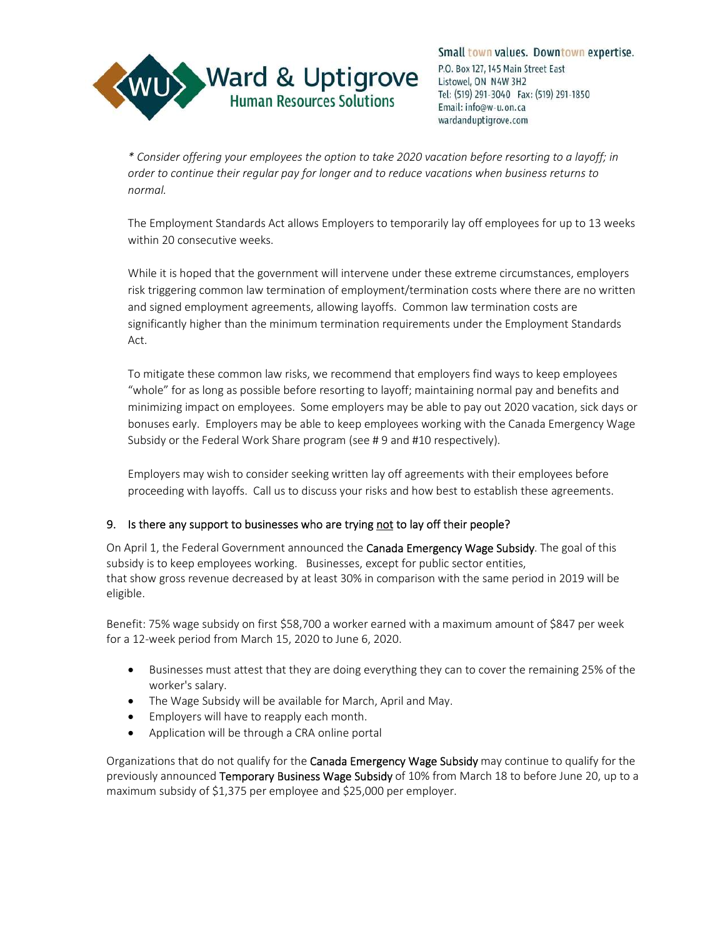

Small town values. Downtown expertise. P.O. Box 127, 145 Main Street East Listowel, ON N4W 3H2 Tel: (519) 291-3040 Fax: (519) 291-1850 Email: info@w-u.on.ca wardanduptigrove.com

*\* Consider offering your employees the option to take 2020 vacation before resorting to a layoff; in order to continue their regular pay for longer and to reduce vacations when business returns to normal.* 

The Employment Standards Act allows Employers to temporarily lay off employees for up to 13 weeks within 20 consecutive weeks.

While it is hoped that the government will intervene under these extreme circumstances, employers risk triggering common law termination of employment/termination costs where there are no written and signed employment agreements, allowing layoffs. Common law termination costs are significantly higher than the minimum termination requirements under the Employment Standards Act.

To mitigate these common law risks, we recommend that employers find ways to keep employees "whole" for as long as possible before resorting to layoff; maintaining normal pay and benefits and minimizing impact on employees. Some employers may be able to pay out 2020 vacation, sick days or bonuses early. Employers may be able to keep employees working with the Canada Emergency Wage Subsidy or the Federal Work Share program (see # 9 and #10 respectively).

Employers may wish to consider seeking written lay off agreements with their employees before proceeding with layoffs. Call us to discuss your risks and how best to establish these agreements.

# 9. Is there any support to businesses who are trying not to lay off their people?

On April 1, the Federal Government announced the Canada Emergency Wage Subsidy. The goal of this subsidy is to keep employees working. Businesses, except for public sector entities, that show gross revenue decreased by at least 30% in comparison with the same period in 2019 will be eligible.

Benefit: 75% wage subsidy on first \$58,700 a worker earned with a maximum amount of \$847 per week for a 12-week period from March 15, 2020 to June 6, 2020.

- Businesses must attest that they are doing everything they can to cover the remaining 25% of the worker's salary.
- The Wage Subsidy will be available for March, April and May.
- Employers will have to reapply each month.
- Application will be through a CRA online portal

Organizations that do not qualify for the Canada Emergency Wage Subsidy may continue to qualify for the previously announced Temporary Business Wage Subsidy of 10% from March 18 to before June 20, up to a maximum subsidy of \$1,375 per employee and \$25,000 per employer.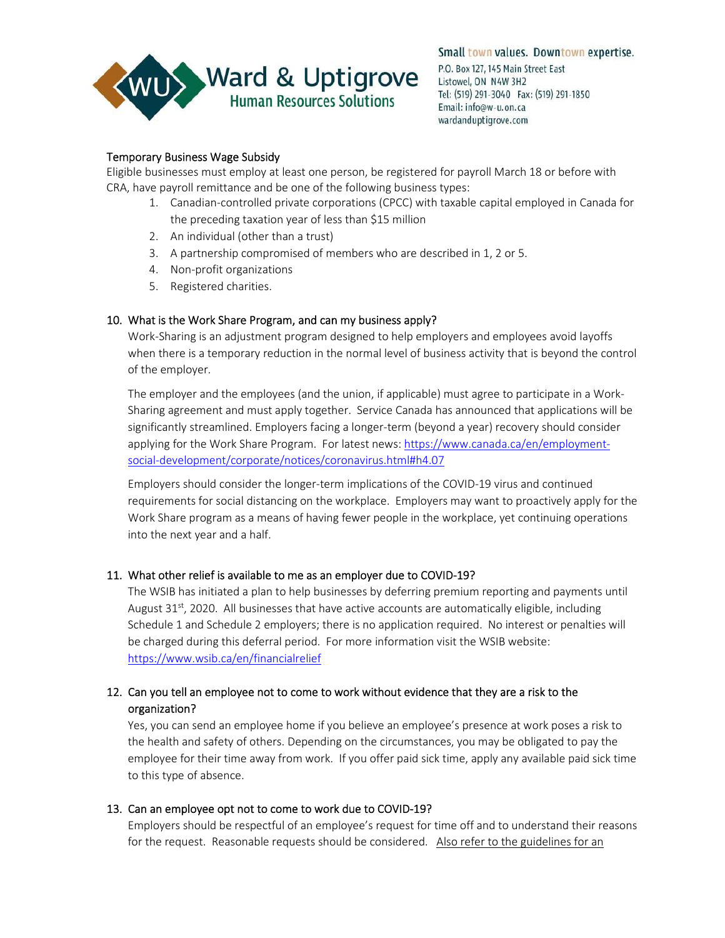

## Temporary Business Wage Subsidy

Eligible businesses must employ at least one person, be registered for payroll March 18 or before with CRA, have payroll remittance and be one of the following business types:

- 1. Canadian-controlled private corporations (CPCC) with taxable capital employed in Canada for the preceding taxation year of less than \$15 million
- 2. An individual (other than a trust)
- 3. A partnership compromised of members who are described in 1, 2 or 5.
- 4. Non-profit organizations
- 5. Registered charities.

## 10. What is the Work Share Program, and can my business apply?

Work-Sharing is an adjustment program designed to help employers and employees avoid layoffs when there is a temporary reduction in the normal level of business activity that is beyond the control of the employer.

The employer and the employees (and the union, if applicable) must agree to participate in a Work-Sharing agreement and must apply together. Service Canada has announced that applications will be significantly streamlined. Employers facing a longer-term (beyond a year) recovery should consider applying for the Work Share Program. For latest news: https://www.canada.ca/en/employmentsocial-development/corporate/notices/coronavirus.html#h4.07

Employers should consider the longer-term implications of the COVID-19 virus and continued requirements for social distancing on the workplace. Employers may want to proactively apply for the Work Share program as a means of having fewer people in the workplace, yet continuing operations into the next year and a half.

#### 11. What other relief is available to me as an employer due to COVID-19?

The WSIB has initiated a plan to help businesses by deferring premium reporting and payments until August  $31<sup>st</sup>$ , 2020. All businesses that have active accounts are automatically eligible, including Schedule 1 and Schedule 2 employers; there is no application required. No interest or penalties will be charged during this deferral period. For more information visit the WSIB website: https://www.wsib.ca/en/financialrelief

# 12. Can you tell an employee not to come to work without evidence that they are a risk to the organization?

Yes, you can send an employee home if you believe an employee's presence at work poses a risk to the health and safety of others. Depending on the circumstances, you may be obligated to pay the employee for their time away from work. If you offer paid sick time, apply any available paid sick time to this type of absence.

#### 13. Can an employee opt not to come to work due to COVID-19?

Employers should be respectful of an employee's request for time off and to understand their reasons for the request. Reasonable requests should be considered. Also refer to the guidelines for an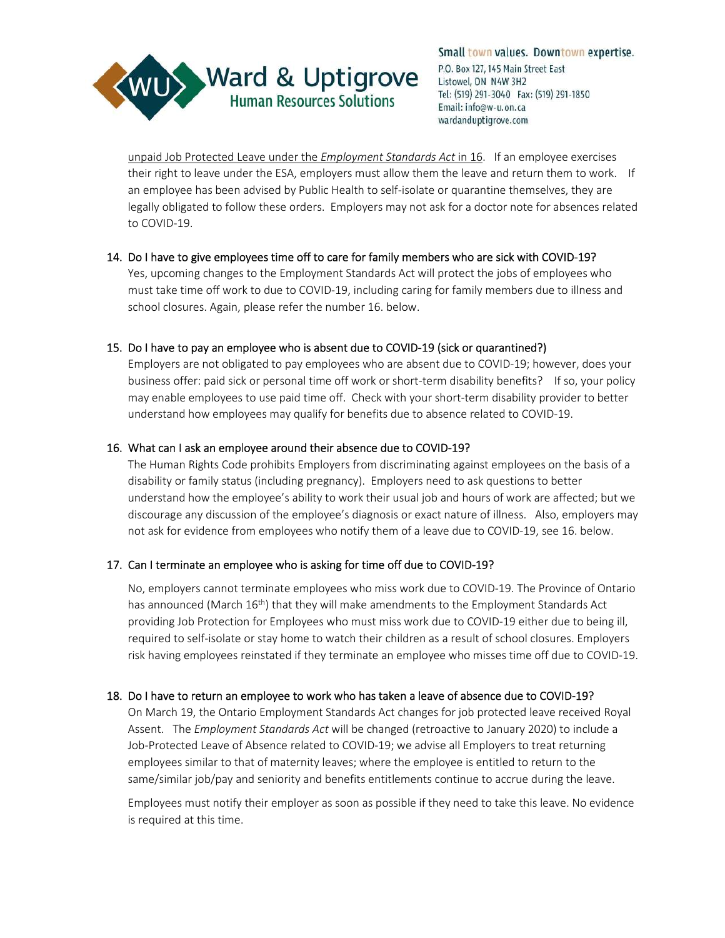

unpaid Job Protected Leave under the *Employment Standards Act* in 16. If an employee exercises their right to leave under the ESA, employers must allow them the leave and return them to work. If an employee has been advised by Public Health to self-isolate or quarantine themselves, they are legally obligated to follow these orders. Employers may not ask for a doctor note for absences related to COVID-19.

## 14. Do I have to give employees time off to care for family members who are sick with COVID-19?

Yes, upcoming changes to the Employment Standards Act will protect the jobs of employees who must take time off work to due to COVID-19, including caring for family members due to illness and school closures. Again, please refer the number 16. below.

## 15. Do I have to pay an employee who is absent due to COVID-19 (sick or quarantined?)

Employers are not obligated to pay employees who are absent due to COVID-19; however, does your business offer: paid sick or personal time off work or short-term disability benefits? If so, your policy may enable employees to use paid time off. Check with your short-term disability provider to better understand how employees may qualify for benefits due to absence related to COVID-19.

## 16. What can I ask an employee around their absence due to COVID-19?

The Human Rights Code prohibits Employers from discriminating against employees on the basis of a disability or family status (including pregnancy). Employers need to ask questions to better understand how the employee's ability to work their usual job and hours of work are affected; but we discourage any discussion of the employee's diagnosis or exact nature of illness. Also, employers may not ask for evidence from employees who notify them of a leave due to COVID-19, see 16. below.

# 17. Can I terminate an employee who is asking for time off due to COVID-19?

No, employers cannot terminate employees who miss work due to COVID-19. The Province of Ontario has announced (March 16<sup>th</sup>) that they will make amendments to the Employment Standards Act providing Job Protection for Employees who must miss work due to COVID-19 either due to being ill, required to self-isolate or stay home to watch their children as a result of school closures. Employers risk having employees reinstated if they terminate an employee who misses time off due to COVID-19.

#### 18. Do I have to return an employee to work who has taken a leave of absence due to COVID-19?

On March 19, the Ontario Employment Standards Act changes for job protected leave received Royal Assent. The *Employment Standards Act* will be changed (retroactive to January 2020) to include a Job-Protected Leave of Absence related to COVID-19; we advise all Employers to treat returning employees similar to that of maternity leaves; where the employee is entitled to return to the same/similar job/pay and seniority and benefits entitlements continue to accrue during the leave.

Employees must notify their employer as soon as possible if they need to take this leave. No evidence is required at this time.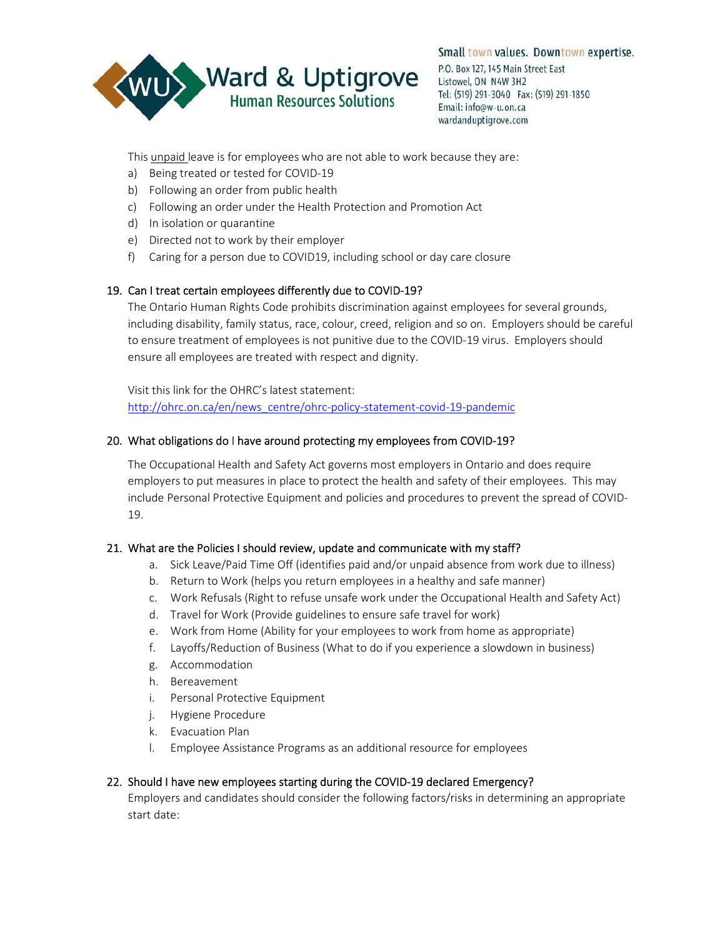

This unpaid leave is for employees who are not able to work because they are:

- a) Being treated or tested for COVID-19
- b) Following an order from public health
- c) Following an order under the Health Protection and Promotion Act
- d) In isolation or quarantine
- e) Directed not to work by their employer
- f) Caring for a person due to COVID19, including school or day care closure

## 19. Can I treat certain employees differently due to COVID-19?

The Ontario Human Rights Code prohibits discrimination against employees for several grounds, including disability, family status, race, colour, creed, religion and so on. Employers should be careful to ensure treatment of employees is not punitive due to the COVID-19 virus. Employers should ensure all employees are treated with respect and dignity.

Visit this link for the OHRC's latest statement: http://ohrc.on.ca/en/news\_centre/ohrc-policy-statement-covid-19-pandemic

## 20. What obligations do I have around protecting my employees from COVID-19?

The Occupational Health and Safety Act governs most employers in Ontario and does require employers to put measures in place to protect the health and safety of their employees. This may include Personal Protective Equipment and policies and procedures to prevent the spread of COVID-19.

#### 21. What are the Policies I should review, update and communicate with my staff?

- a. Sick Leave/Paid Time Off (identifies paid and/or unpaid absence from work due to illness)
- b. Return to Work (helps you return employees in a healthy and safe manner)
- c. Work Refusals (Right to refuse unsafe work under the Occupational Health and Safety Act)
- d. Travel for Work (Provide guidelines to ensure safe travel for work)
- e. Work from Home (Ability for your employees to work from home as appropriate)
- f. Layoffs/Reduction of Business (What to do if you experience a slowdown in business)
- g. Accommodation
- h. Bereavement
- i. Personal Protective Equipment
- j. Hygiene Procedure
- k. Evacuation Plan
- l. Employee Assistance Programs as an additional resource for employees

# 22. Should I have new employees starting during the COVID-19 declared Emergency?

Employers and candidates should consider the following factors/risks in determining an appropriate start date: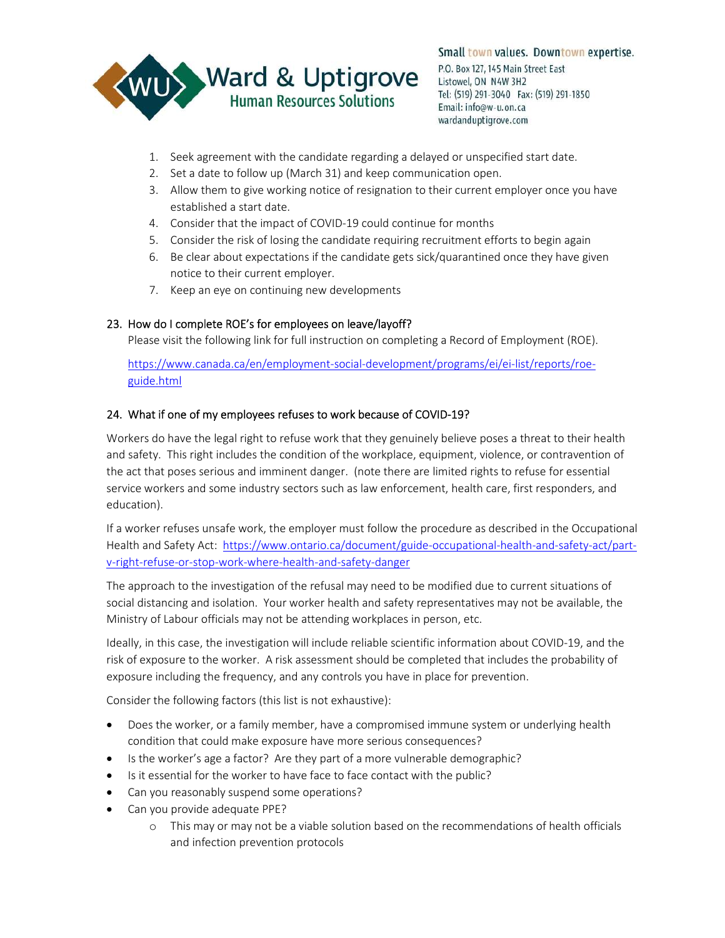

- 1. Seek agreement with the candidate regarding a delayed or unspecified start date.
- 2. Set a date to follow up (March 31) and keep communication open.
- 3. Allow them to give working notice of resignation to their current employer once you have established a start date.
- 4. Consider that the impact of COVID-19 could continue for months
- 5. Consider the risk of losing the candidate requiring recruitment efforts to begin again
- 6. Be clear about expectations if the candidate gets sick/quarantined once they have given notice to their current employer.
- 7. Keep an eye on continuing new developments

## 23. How do I complete ROE's for employees on leave/layoff?

Please visit the following link for full instruction on completing a Record of Employment (ROE).

https://www.canada.ca/en/employment-social-development/programs/ei/ei-list/reports/roeguide.html

## 24. What if one of my employees refuses to work because of COVID-19?

Workers do have the legal right to refuse work that they genuinely believe poses a threat to their health and safety. This right includes the condition of the workplace, equipment, violence, or contravention of the act that poses serious and imminent danger. (note there are limited rights to refuse for essential service workers and some industry sectors such as law enforcement, health care, first responders, and education).

If a worker refuses unsafe work, the employer must follow the procedure as described in the Occupational Health and Safety Act: https://www.ontario.ca/document/guide-occupational-health-and-safety-act/partv-right-refuse-or-stop-work-where-health-and-safety-danger

The approach to the investigation of the refusal may need to be modified due to current situations of social distancing and isolation. Your worker health and safety representatives may not be available, the Ministry of Labour officials may not be attending workplaces in person, etc.

Ideally, in this case, the investigation will include reliable scientific information about COVID-19, and the risk of exposure to the worker. A risk assessment should be completed that includes the probability of exposure including the frequency, and any controls you have in place for prevention.

Consider the following factors (this list is not exhaustive):

- Does the worker, or a family member, have a compromised immune system or underlying health condition that could make exposure have more serious consequences?
- Is the worker's age a factor? Are they part of a more vulnerable demographic?
- Is it essential for the worker to have face to face contact with the public?
- Can you reasonably suspend some operations?
- Can you provide adequate PPE?
	- o This may or may not be a viable solution based on the recommendations of health officials and infection prevention protocols